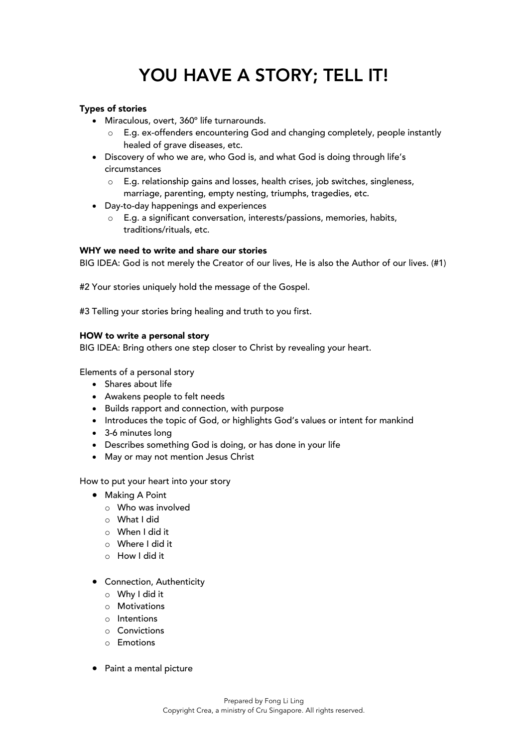# YOU HAVE A STORY; TELL IT!

## Types of stories

- Miraculous, overt, 360º life turnarounds.
	- o E.g. ex-offenders encountering God and changing completely, people instantly healed of grave diseases, etc.
- Discovery of who we are, who God is, and what God is doing through life's circumstances
	- $\circ$  E.g. relationship gains and losses, health crises, job switches, singleness, marriage, parenting, empty nesting, triumphs, tragedies, etc.
- Day-to-day happenings and experiences
	- o E.g. a significant conversation, interests/passions, memories, habits, traditions/rituals, etc.

### WHY we need to write and share our stories

BIG IDEA: God is not merely the Creator of our lives, He is also the Author of our lives. (#1)

#2 Your stories uniquely hold the message of the Gospel.

#3 Telling your stories bring healing and truth to you first.

## HOW to write a personal story

BIG IDEA: Bring others one step closer to Christ by revealing your heart.

Elements of a personal story

- Shares about life
- Awakens people to felt needs
- Builds rapport and connection, with purpose
- Introduces the topic of God, or highlights God's values or intent for mankind
- 3-6 minutes long
- Describes something God is doing, or has done in your life
- May or may not mention Jesus Christ

How to put your heart into your story

- Making A Point
	- o Who was involved
	- o What I did
	- o When I did it
	- o Where I did it
	- o How I did it
- Connection, Authenticity
	- o Why I did it
	- o Motivations
	- o Intentions
	- o Convictions
	- o Emotions
- Paint a mental picture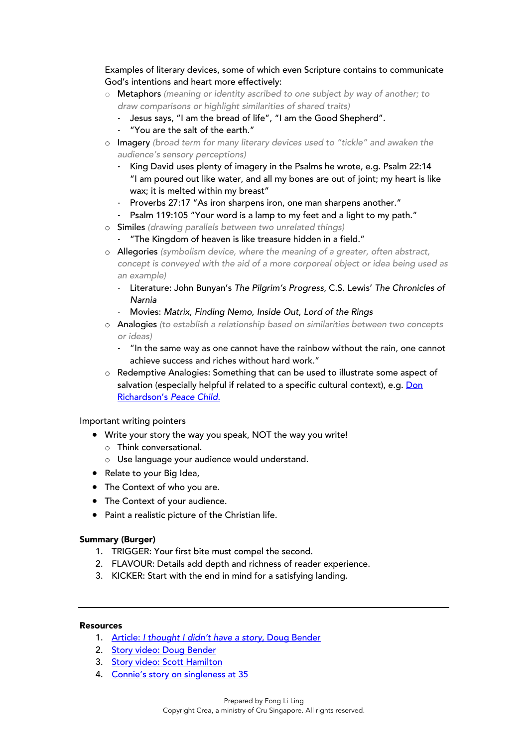Examples of literary devices, some of which even Scripture contains to communicate God's intentions and heart more effectively:

- o Metaphors *(meaning or identity ascribed to one subject by way of another; to draw comparisons or highlight similarities of shared traits)*
	- Jesus says, "I am the bread of life", "I am the Good Shepherd".
	- "You are the salt of the earth."
- o Imagery *(broad term for many literary devices used to "tickle" and awaken the audience's sensory perceptions)*
	- King David uses plenty of imagery in the Psalms he wrote, e.g. Psalm 22:14 "I am poured out like water, and all my bones are out of joint; my heart is like wax; it is melted within my breast"
	- Proverbs 27:17 "As iron sharpens iron, one man sharpens another."
	- Psalm 119:105 "Your word is a lamp to my feet and a light to my path."
- o Similes *(drawing parallels between two unrelated things)*
	- "The Kingdom of heaven is like treasure hidden in a field."
- o Allegories *(symbolism device, where the meaning of a greater, often abstract, concept is conveyed with the aid of a more corporeal object or idea being used as an example)*
	- Literature: John Bunyan's *The Pilgrim's Progress*, C.S. Lewis' *The Chronicles of Narnia*
	- Movies: *Matrix, Finding Nemo, Inside Out, Lord of the Rings*
- o Analogies *(to establish a relationship based on similarities between two concepts or ideas)*
	- "In the same way as one cannot have the rainbow without the rain, one cannot achieve success and riches without hard work."
- o Redemptive Analogies: Something that can be used to illustrate some aspect of salvation (especially helpful if related to a specific cultural context), e.g. Don [Richardson's](https://youtu.be/I1F_zmLYK_w) *Peace Child*.

### Important writing pointers

- Write your story the way you speak, NOT the way you write!
	- o Think conversational.
	- o Use language your audience would understand.
- Relate to your Big Idea,
- The Context of who you are.
- The Context of your audience.
- Paint a realistic picture of the Christian life.

### Summary (Burger)

- 1. TRIGGER: Your first bite must compel the second.
- 2. FLAVOUR: Details add depth and richness of reader experience.
- 3. KICKER: Start with the end in mind for a satisfying landing.

## Resources

- 1. Article: *[I thought I didn't have a story](https://blog.iamsecond.com/i-thought-i-didnt-have-a-story)*, Doug Bender
- 2. [Story video: Doug Bender](https://www.iamsecond.com/film/doug-bender/)
- 3. [Story video: Scott Hamilton](https://www.iamsecond.com/film/scott-hamilton/)
- 4. [Connie's story on singleness at 35](https://thirst.sg/single-at-35-a-letter-to-myself-as-i-turn-another-year-older-on-valentines-day/)